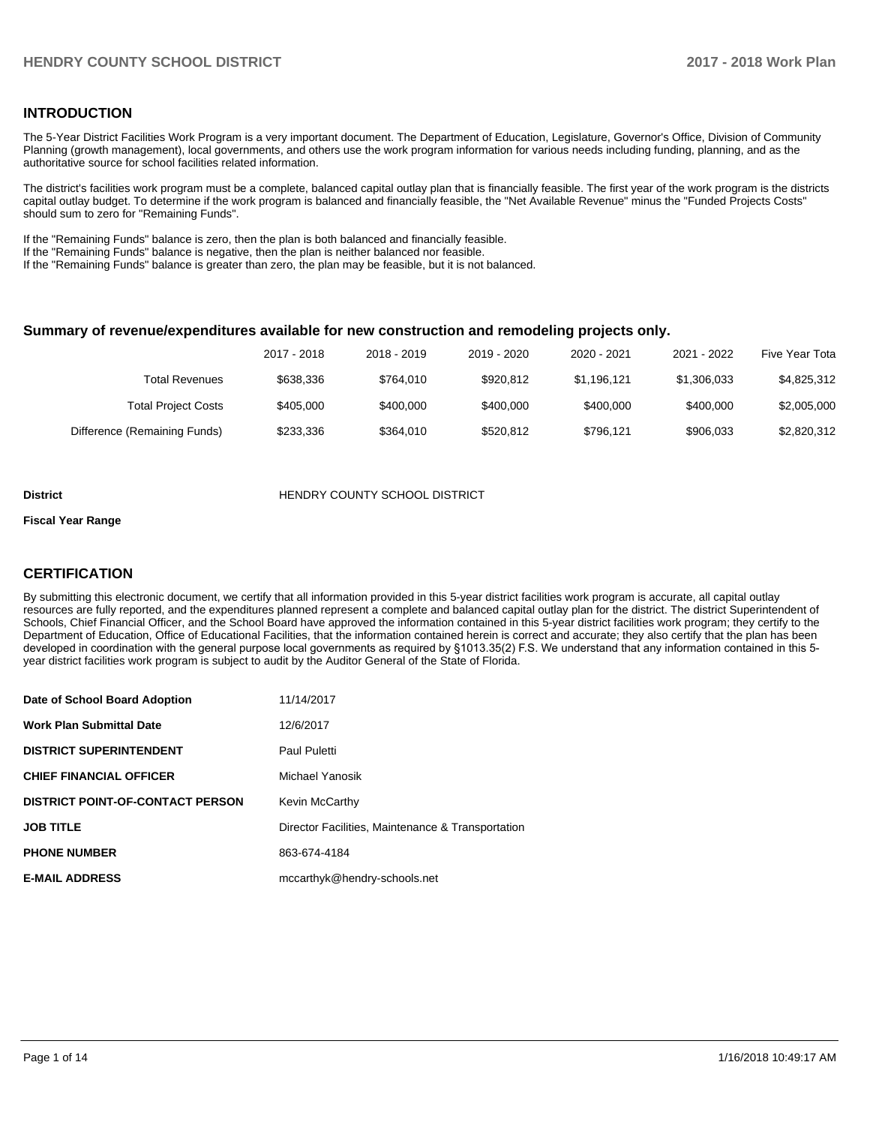#### **INTRODUCTION**

The 5-Year District Facilities Work Program is a very important document. The Department of Education, Legislature, Governor's Office, Division of Community Planning (growth management), local governments, and others use the work program information for various needs including funding, planning, and as the authoritative source for school facilities related information.

The district's facilities work program must be a complete, balanced capital outlay plan that is financially feasible. The first year of the work program is the districts capital outlay budget. To determine if the work program is balanced and financially feasible, the "Net Available Revenue" minus the "Funded Projects Costs" should sum to zero for "Remaining Funds".

If the "Remaining Funds" balance is zero, then the plan is both balanced and financially feasible.

If the "Remaining Funds" balance is negative, then the plan is neither balanced nor feasible.

If the "Remaining Funds" balance is greater than zero, the plan may be feasible, but it is not balanced.

#### **Summary of revenue/expenditures available for new construction and remodeling projects only.**

|                              | 2017 - 2018 | 2018 - 2019 | 2019 - 2020 | 2020 - 2021 | 2021 - 2022 | Five Year Tota |
|------------------------------|-------------|-------------|-------------|-------------|-------------|----------------|
| Total Revenues               | \$638,336   | \$764.010   | \$920.812   | \$1.196.121 | \$1,306,033 | \$4,825,312    |
| <b>Total Project Costs</b>   | \$405,000   | \$400,000   | \$400,000   | \$400,000   | \$400,000   | \$2,005,000    |
| Difference (Remaining Funds) | \$233.336   | \$364.010   | \$520.812   | \$796.121   | \$906.033   | \$2,820,312    |

#### **District COUNTY SCHOOL DISTRICT**

#### **Fiscal Year Range**

#### **CERTIFICATION**

By submitting this electronic document, we certify that all information provided in this 5-year district facilities work program is accurate, all capital outlay resources are fully reported, and the expenditures planned represent a complete and balanced capital outlay plan for the district. The district Superintendent of Schools, Chief Financial Officer, and the School Board have approved the information contained in this 5-year district facilities work program; they certify to the Department of Education, Office of Educational Facilities, that the information contained herein is correct and accurate; they also certify that the plan has been developed in coordination with the general purpose local governments as required by §1013.35(2) F.S. We understand that any information contained in this 5year district facilities work program is subject to audit by the Auditor General of the State of Florida.

| Date of School Board Adoption           | 11/14/2017                                        |
|-----------------------------------------|---------------------------------------------------|
| <b>Work Plan Submittal Date</b>         | 12/6/2017                                         |
| <b>DISTRICT SUPERINTENDENT</b>          | Paul Puletti                                      |
| <b>CHIEF FINANCIAL OFFICER</b>          | Michael Yanosik                                   |
| <b>DISTRICT POINT-OF-CONTACT PERSON</b> | Kevin McCarthy                                    |
| <b>JOB TITLE</b>                        | Director Facilities, Maintenance & Transportation |
| <b>PHONE NUMBER</b>                     | 863-674-4184                                      |
| <b>E-MAIL ADDRESS</b>                   | mccarthyk@hendry-schools.net                      |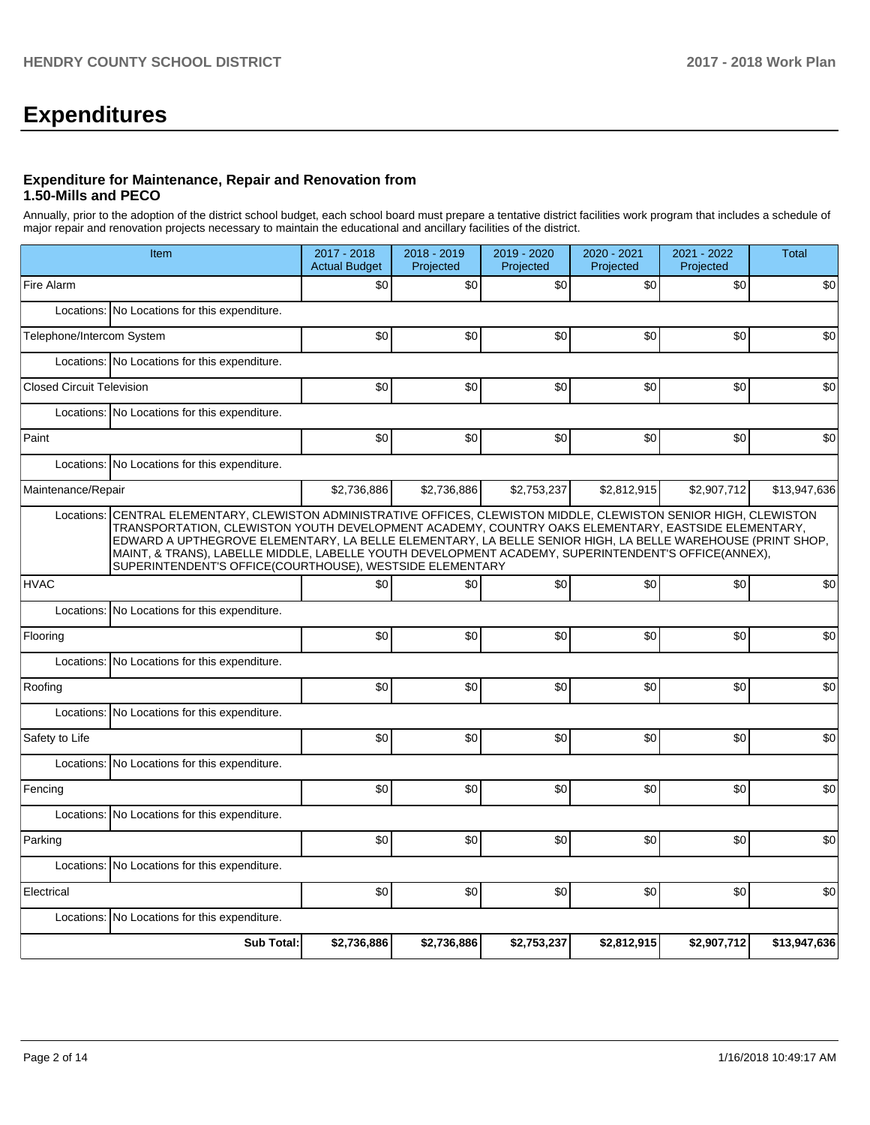# **Expenditures**

#### **Expenditure for Maintenance, Repair and Renovation from 1.50-Mills and PECO**

Annually, prior to the adoption of the district school budget, each school board must prepare a tentative district facilities work program that includes a schedule of major repair and renovation projects necessary to maintain the educational and ancillary facilities of the district.

| Item                                                                                                                                                                                                                                                                                                                                                                                                                                                                                                          | 2017 - 2018<br><b>Actual Budget</b> | 2018 - 2019<br>Projected | 2019 - 2020<br>Projected | 2020 - 2021<br>Projected | 2021 - 2022<br>Projected | <b>Total</b> |  |  |  |  |
|---------------------------------------------------------------------------------------------------------------------------------------------------------------------------------------------------------------------------------------------------------------------------------------------------------------------------------------------------------------------------------------------------------------------------------------------------------------------------------------------------------------|-------------------------------------|--------------------------|--------------------------|--------------------------|--------------------------|--------------|--|--|--|--|
| Fire Alarm                                                                                                                                                                                                                                                                                                                                                                                                                                                                                                    | \$0                                 | \$0                      | \$0                      | \$0                      | \$0                      | \$0          |  |  |  |  |
| Locations: No Locations for this expenditure.                                                                                                                                                                                                                                                                                                                                                                                                                                                                 |                                     |                          |                          |                          |                          |              |  |  |  |  |
| Telephone/Intercom System                                                                                                                                                                                                                                                                                                                                                                                                                                                                                     | \$0                                 | \$0                      | \$0                      | \$0                      | \$0                      | \$0          |  |  |  |  |
| Locations: No Locations for this expenditure.                                                                                                                                                                                                                                                                                                                                                                                                                                                                 |                                     |                          |                          |                          |                          |              |  |  |  |  |
| <b>Closed Circuit Television</b>                                                                                                                                                                                                                                                                                                                                                                                                                                                                              | \$0                                 | \$0                      | \$0                      | \$0                      | \$0                      | \$0          |  |  |  |  |
| Locations: No Locations for this expenditure.                                                                                                                                                                                                                                                                                                                                                                                                                                                                 |                                     |                          |                          |                          |                          |              |  |  |  |  |
| Paint                                                                                                                                                                                                                                                                                                                                                                                                                                                                                                         | \$0                                 | \$0                      | \$0                      | \$0                      | \$0                      | \$0          |  |  |  |  |
| Locations: No Locations for this expenditure.                                                                                                                                                                                                                                                                                                                                                                                                                                                                 |                                     |                          |                          |                          |                          |              |  |  |  |  |
| Maintenance/Repair                                                                                                                                                                                                                                                                                                                                                                                                                                                                                            | \$2,736,886                         | \$2,736,886              | \$2,753,237              | \$2,812,915              | \$2,907,712              | \$13,947,636 |  |  |  |  |
| CENTRAL ELEMENTARY, CLEWISTON ADMINISTRATIVE OFFICES, CLEWISTON MIDDLE, CLEWISTON SENIOR HIGH, CLEWISTON<br>Locations:<br>TRANSPORTATION, CLEWISTON YOUTH DEVELOPMENT ACADEMY, COUNTRY OAKS ELEMENTARY, EASTSIDE ELEMENTARY,<br>EDWARD A UPTHEGROVE ELEMENTARY, LA BELLE ELEMENTARY, LA BELLE SENIOR HIGH, LA BELLE WAREHOUSE (PRINT SHOP,<br>MAINT, & TRANS), LABELLE MIDDLE, LABELLE YOUTH DEVELOPMENT ACADEMY, SUPERINTENDENT'S OFFICE(ANNEX),<br>SUPERINTENDENT'S OFFICE(COURTHOUSE), WESTSIDE ELEMENTARY |                                     |                          |                          |                          |                          |              |  |  |  |  |
| <b>HVAC</b>                                                                                                                                                                                                                                                                                                                                                                                                                                                                                                   | \$0                                 | \$0                      | \$0                      | \$0                      | \$0                      | \$0          |  |  |  |  |
| Locations: No Locations for this expenditure.                                                                                                                                                                                                                                                                                                                                                                                                                                                                 |                                     |                          |                          |                          |                          |              |  |  |  |  |
| Flooring                                                                                                                                                                                                                                                                                                                                                                                                                                                                                                      | \$0                                 | \$0                      | \$0                      | \$0                      | \$0                      | \$0          |  |  |  |  |
| Locations:<br>No Locations for this expenditure.                                                                                                                                                                                                                                                                                                                                                                                                                                                              |                                     |                          |                          |                          |                          |              |  |  |  |  |
| Roofing                                                                                                                                                                                                                                                                                                                                                                                                                                                                                                       | \$0                                 | \$0                      | \$0                      | \$0                      | \$0                      | \$0          |  |  |  |  |
| Locations: No Locations for this expenditure.                                                                                                                                                                                                                                                                                                                                                                                                                                                                 |                                     |                          |                          |                          |                          |              |  |  |  |  |
| Safety to Life                                                                                                                                                                                                                                                                                                                                                                                                                                                                                                | \$0                                 | \$0                      | \$0                      | \$0                      | \$0                      | \$0          |  |  |  |  |
| Locations: No Locations for this expenditure.                                                                                                                                                                                                                                                                                                                                                                                                                                                                 |                                     |                          |                          |                          |                          |              |  |  |  |  |
| Fencing                                                                                                                                                                                                                                                                                                                                                                                                                                                                                                       | \$0                                 | \$0                      | \$0                      | \$0                      | \$0                      | \$0          |  |  |  |  |
| No Locations for this expenditure.<br>Locations:                                                                                                                                                                                                                                                                                                                                                                                                                                                              |                                     |                          |                          |                          |                          |              |  |  |  |  |
| Parking                                                                                                                                                                                                                                                                                                                                                                                                                                                                                                       |                                     |                          |                          |                          |                          |              |  |  |  |  |
|                                                                                                                                                                                                                                                                                                                                                                                                                                                                                                               | \$0                                 | \$0                      | \$0                      | \$0                      | \$0                      | \$0          |  |  |  |  |
| Locations:<br>No Locations for this expenditure.                                                                                                                                                                                                                                                                                                                                                                                                                                                              |                                     |                          |                          |                          |                          |              |  |  |  |  |
| Electrical                                                                                                                                                                                                                                                                                                                                                                                                                                                                                                    | \$0                                 | \$0                      | \$0                      | \$0                      | \$0                      | \$0          |  |  |  |  |
| Locations: No Locations for this expenditure.                                                                                                                                                                                                                                                                                                                                                                                                                                                                 |                                     |                          |                          |                          |                          |              |  |  |  |  |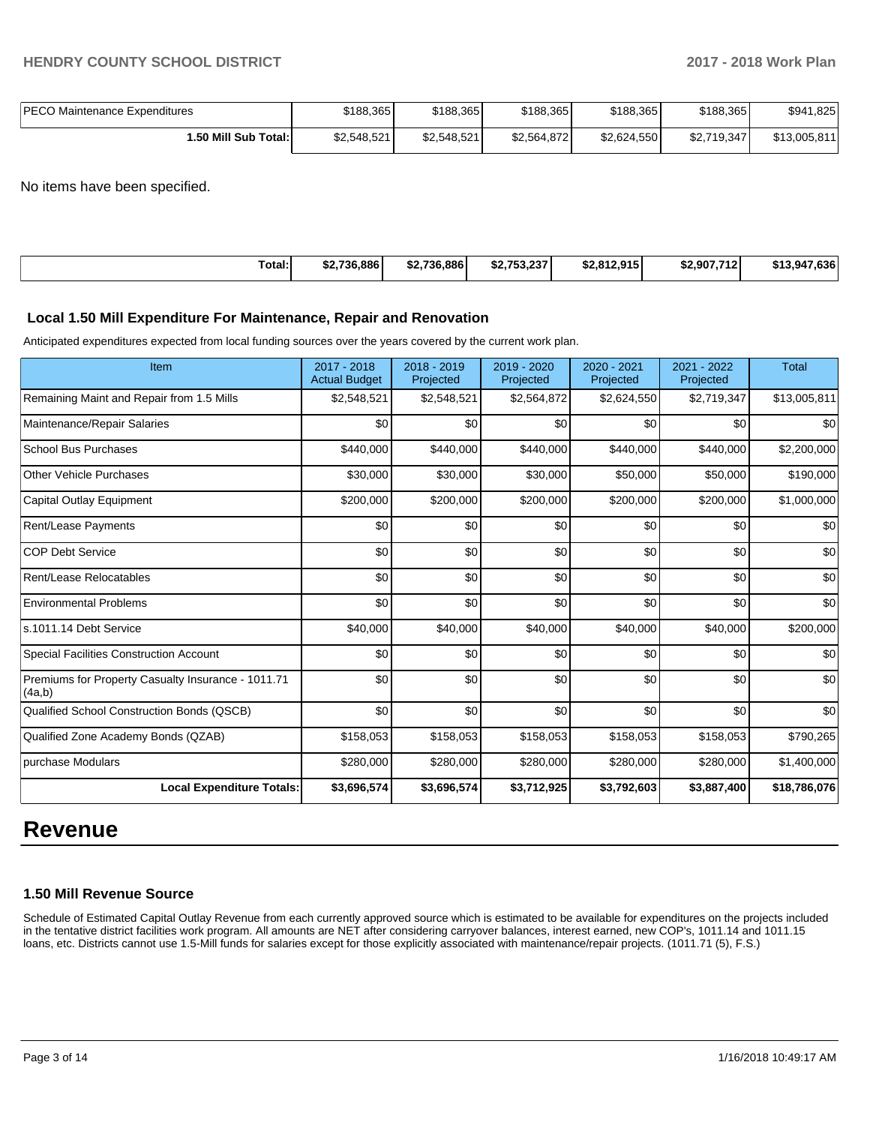| <b>IPECO Maintenance Expenditures</b> | \$188,365   | \$188,365   | \$188,365   | \$188,365   | \$188,365   | \$941,825    |
|---------------------------------------|-------------|-------------|-------------|-------------|-------------|--------------|
| 1.50 Mill Sub Total: I                | \$2,548,521 | \$2,548,521 | \$2,564,872 | \$2.624.550 | \$2,719,347 | \$13,005,811 |

No items have been specified.

|  | Total:<br>. | \$2.736.886 | \$2.736.886 | 0.752.227<br>733.237<br>ЭZ. | <b>\$2.812.915</b><br>2.0 I Z.Y I J<br>æ | \$2,907,712 | .636<br>$$13,94^-$ |
|--|-------------|-------------|-------------|-----------------------------|------------------------------------------|-------------|--------------------|
|--|-------------|-------------|-------------|-----------------------------|------------------------------------------|-------------|--------------------|

#### **Local 1.50 Mill Expenditure For Maintenance, Repair and Renovation**

Anticipated expenditures expected from local funding sources over the years covered by the current work plan.

| Item                                                         | 2017 - 2018<br><b>Actual Budget</b> | 2018 - 2019<br>Projected | 2019 - 2020<br>Projected | 2020 - 2021<br>Projected | 2021 - 2022<br>Projected | <b>Total</b> |
|--------------------------------------------------------------|-------------------------------------|--------------------------|--------------------------|--------------------------|--------------------------|--------------|
| Remaining Maint and Repair from 1.5 Mills                    | \$2,548,521                         | \$2,548,521              | \$2,564,872              | \$2,624,550              | \$2,719,347              | \$13,005,811 |
| Maintenance/Repair Salaries                                  | \$0                                 | \$0                      | \$0                      | \$0                      | \$0                      | \$0          |
| <b>School Bus Purchases</b>                                  | \$440,000                           | \$440,000                | \$440,000                | \$440,000                | \$440,000                | \$2,200,000  |
| <b>Other Vehicle Purchases</b>                               | \$30,000                            | \$30,000                 | \$30,000                 | \$50,000                 | \$50,000                 | \$190,000    |
| <b>Capital Outlay Equipment</b>                              | \$200,000                           | \$200,000                | \$200,000                | \$200,000                | \$200,000                | \$1,000,000  |
| Rent/Lease Payments                                          | \$0                                 | \$0                      | \$0                      | \$0                      | \$0                      | \$0          |
| <b>COP Debt Service</b>                                      | \$0                                 | \$0                      | \$0                      | \$0                      | \$0                      | \$0          |
| Rent/Lease Relocatables                                      | \$0                                 | \$0                      | \$0                      | \$0                      | \$0                      | \$0          |
| <b>Environmental Problems</b>                                | \$0                                 | \$0                      | \$0                      | \$0                      | \$0                      | \$0          |
| ls.1011.14 Debt Service                                      | \$40,000                            | \$40,000                 | \$40,000                 | \$40,000                 | \$40,000                 | \$200,000    |
| <b>Special Facilities Construction Account</b>               | \$0                                 | \$0                      | \$0                      | \$0                      | \$0                      | \$0          |
| Premiums for Property Casualty Insurance - 1011.71<br>(4a,b) | \$0                                 | \$0                      | \$0                      | \$0                      | \$0                      | \$0          |
| Qualified School Construction Bonds (QSCB)                   | \$0                                 | \$0                      | \$0                      | \$0                      | \$0                      | \$0          |
| Qualified Zone Academy Bonds (QZAB)                          | \$158,053                           | \$158,053                | \$158,053                | \$158,053                | \$158,053                | \$790,265    |
| purchase Modulars                                            | \$280,000                           | \$280,000                | \$280,000                | \$280,000                | \$280,000                | \$1,400,000  |
| <b>Local Expenditure Totals:</b>                             | \$3,696,574                         | \$3,696,574              | \$3,712,925              | \$3,792,603              | \$3,887,400              | \$18,786,076 |

# **Revenue**

#### **1.50 Mill Revenue Source**

Schedule of Estimated Capital Outlay Revenue from each currently approved source which is estimated to be available for expenditures on the projects included in the tentative district facilities work program. All amounts are NET after considering carryover balances, interest earned, new COP's, 1011.14 and 1011.15 loans, etc. Districts cannot use 1.5-Mill funds for salaries except for those explicitly associated with maintenance/repair projects. (1011.71 (5), F.S.)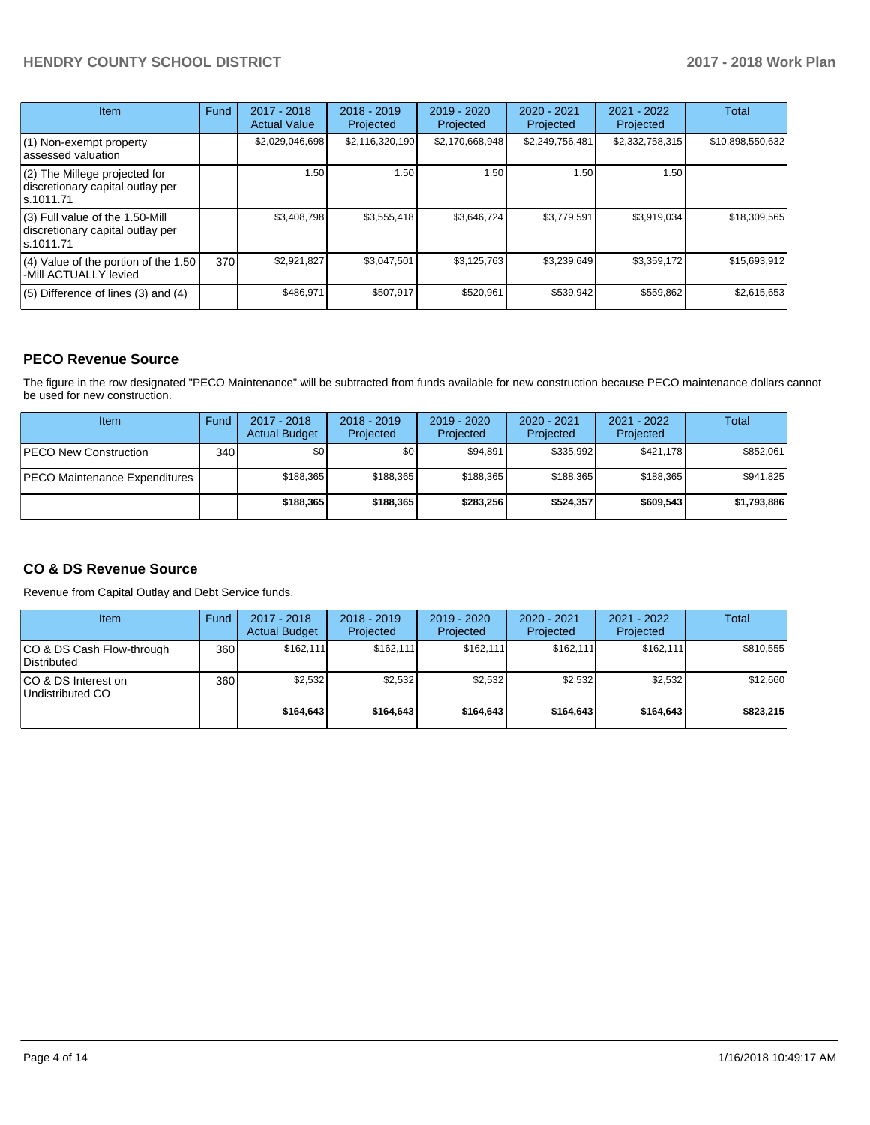### **HENDRY COUNTY SCHOOL DISTRICT 2017 - 2018 Work Plan**

| <b>Item</b>                                                                       | Fund | 2017 - 2018<br><b>Actual Value</b> | $2018 - 2019$<br>Projected | $2019 - 2020$<br>Projected | $2020 - 2021$<br>Projected | 2021 - 2022<br>Projected | <b>Total</b>     |
|-----------------------------------------------------------------------------------|------|------------------------------------|----------------------------|----------------------------|----------------------------|--------------------------|------------------|
| $(1)$ Non-exempt property<br>lassessed valuation                                  |      | \$2,029,046,698                    | \$2,116,320,190            | \$2,170,668,948            | \$2,249,756,481            | \$2,332,758,315          | \$10,898,550,632 |
| (2) The Millege projected for<br>discretionary capital outlay per<br>ls.1011.71   |      | 1.50                               | 1.50                       | 1.50                       | 1.50                       | 1.50                     |                  |
| (3) Full value of the 1.50-Mill<br>discretionary capital outlay per<br>ls.1011.71 |      | \$3.408.798                        | \$3,555,418                | \$3,646,724                | \$3,779,591                | \$3,919,034              | \$18,309,565     |
| (4) Value of the portion of the 1.50<br>-Mill ACTUALLY levied                     | 370I | \$2,921,827                        | \$3,047,501                | \$3,125,763                | \$3,239,649                | \$3,359,172              | \$15,693,912     |
| $(5)$ Difference of lines $(3)$ and $(4)$                                         |      | \$486,971                          | \$507,917                  | \$520,961                  | \$539,942                  | \$559,862                | \$2,615,653      |

#### **PECO Revenue Source**

The figure in the row designated "PECO Maintenance" will be subtracted from funds available for new construction because PECO maintenance dollars cannot be used for new construction.

| Item                           | Fund         | $2017 - 2018$<br><b>Actual Budget</b> | $2018 - 2019$<br>Projected | 2019 - 2020<br>Projected | $2020 - 2021$<br>Projected | $2021 - 2022$<br>Projected | <b>Total</b> |
|--------------------------------|--------------|---------------------------------------|----------------------------|--------------------------|----------------------------|----------------------------|--------------|
| <b>IPECO New Construction</b>  | 340 <b>I</b> | \$0                                   | \$0 <sub>1</sub>           | \$94.891                 | \$335.992                  | \$421,178                  | \$852,061    |
| IPECO Maintenance Expenditures |              | \$188,365                             | \$188,365                  | \$188.365                | \$188.365                  | \$188,365                  | \$941,825    |
|                                |              | \$188,365                             | \$188,365                  | \$283.256                | \$524.357                  | \$609.543                  | \$1,793,886  |

### **CO & DS Revenue Source**

Revenue from Capital Outlay and Debt Service funds.

| <b>Item</b>                              | Fund | $2017 - 2018$<br><b>Actual Budget</b> | $2018 - 2019$<br>Projected | 2019 - 2020<br>Projected | $2020 - 2021$<br>Projected | 2021 - 2022<br>Projected | Total     |
|------------------------------------------|------|---------------------------------------|----------------------------|--------------------------|----------------------------|--------------------------|-----------|
| CO & DS Cash Flow-through<br>Distributed | 360  | \$162.111                             | \$162.111                  | \$162.111                | \$162.111                  | \$162.111                | \$810.555 |
| ICO & DS Interest on<br>Undistributed CO | 360  | \$2.532                               | \$2,532                    | \$2.532                  | \$2.532                    | \$2,532                  | \$12,660  |
|                                          |      | \$164.643                             | \$164.643                  | \$164.643                | \$164.643                  | \$164.643                | \$823.215 |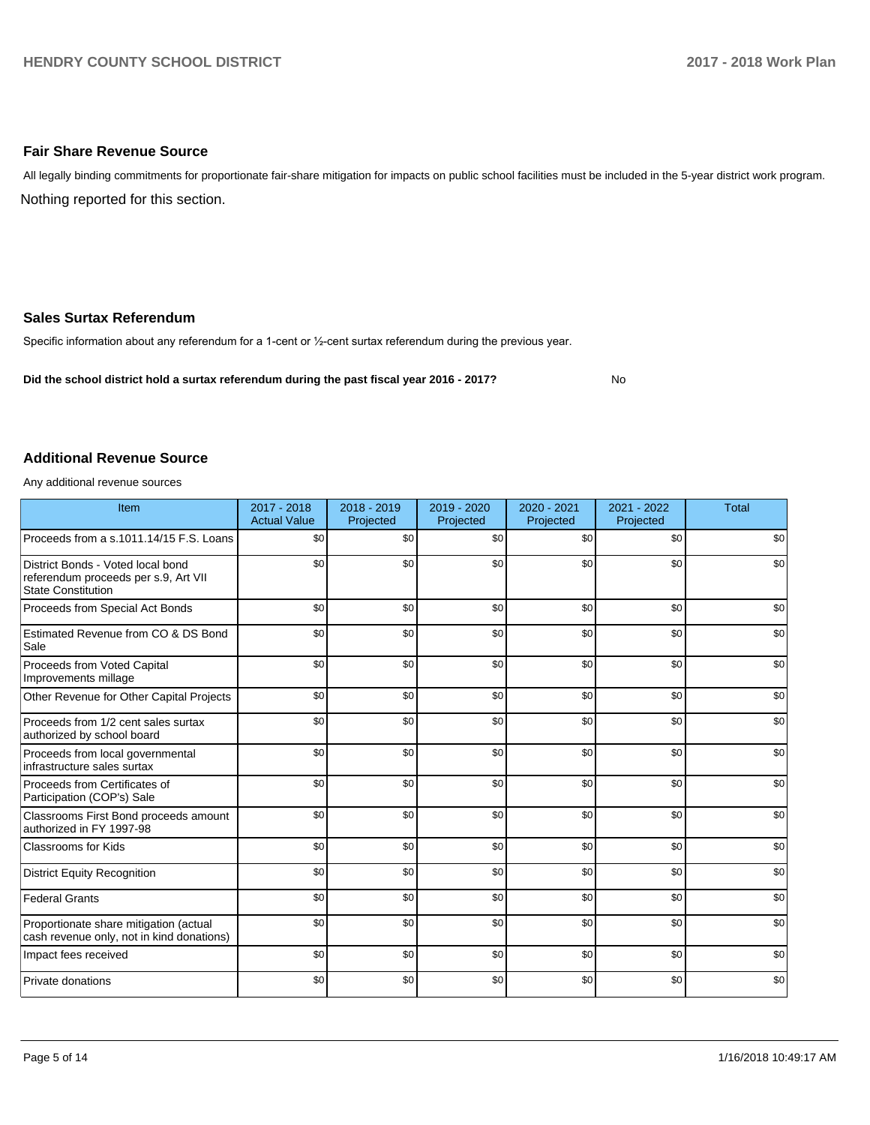#### **Fair Share Revenue Source**

Nothing reported for this section. All legally binding commitments for proportionate fair-share mitigation for impacts on public school facilities must be included in the 5-year district work program.

#### **Sales Surtax Referendum**

Specific information about any referendum for a 1-cent or 1/2-cent surtax referendum during the previous year.

**Did the school district hold a surtax referendum during the past fiscal year 2016 - 2017?**

No

#### **Additional Revenue Source**

Any additional revenue sources

| Item                                                                                                   | $2017 - 2018$<br><b>Actual Value</b> | $2018 - 2019$<br>Projected | 2019 - 2020<br>Projected | 2020 - 2021<br>Projected | 2021 - 2022<br>Projected | <b>Total</b> |
|--------------------------------------------------------------------------------------------------------|--------------------------------------|----------------------------|--------------------------|--------------------------|--------------------------|--------------|
| Proceeds from a s.1011.14/15 F.S. Loans                                                                | \$0                                  | \$0                        | \$0                      | \$0                      | \$0                      | \$0          |
| District Bonds - Voted local bond<br>referendum proceeds per s.9, Art VII<br><b>State Constitution</b> | \$0                                  | \$0                        | \$0                      | \$0                      | \$0                      | \$0          |
| Proceeds from Special Act Bonds                                                                        | \$0                                  | \$0                        | \$0                      | \$0                      | \$0                      | \$0          |
| Estimated Revenue from CO & DS Bond<br>Sale                                                            | \$0                                  | \$0                        | \$0                      | \$0                      | \$0                      | \$0          |
| Proceeds from Voted Capital<br>Improvements millage                                                    | \$0                                  | \$0                        | \$0                      | \$0                      | \$0                      | \$0          |
| Other Revenue for Other Capital Projects                                                               | \$0                                  | \$0                        | \$0                      | \$0                      | \$0                      | \$0          |
| Proceeds from 1/2 cent sales surtax<br>authorized by school board                                      | \$0                                  | \$0                        | \$0                      | \$0                      | \$0                      | \$0          |
| Proceeds from local governmental<br>infrastructure sales surtax                                        | \$0                                  | \$0                        | \$0                      | \$0                      | \$0                      | \$0          |
| Proceeds from Certificates of<br>Participation (COP's) Sale                                            | \$0                                  | \$0                        | \$0                      | \$0                      | \$0                      | \$0          |
| Classrooms First Bond proceeds amount<br>authorized in FY 1997-98                                      | \$0                                  | \$0                        | \$0                      | \$0                      | \$0                      | \$0          |
| <b>Classrooms for Kids</b>                                                                             | \$0                                  | \$0                        | \$0                      | \$0                      | \$0                      | \$0          |
| <b>District Equity Recognition</b>                                                                     | \$0                                  | \$0                        | \$0                      | \$0                      | \$0                      | \$0          |
| <b>Federal Grants</b>                                                                                  | \$0                                  | \$0                        | \$0                      | \$0                      | \$0                      | \$0          |
| Proportionate share mitigation (actual<br>cash revenue only, not in kind donations)                    | \$0                                  | \$0                        | \$0                      | \$0                      | \$0                      | \$0          |
| Impact fees received                                                                                   | \$0                                  | \$0                        | \$0                      | \$0                      | \$0                      | \$0          |
| Private donations                                                                                      | \$0                                  | \$0                        | \$0                      | \$0                      | \$0                      | \$0          |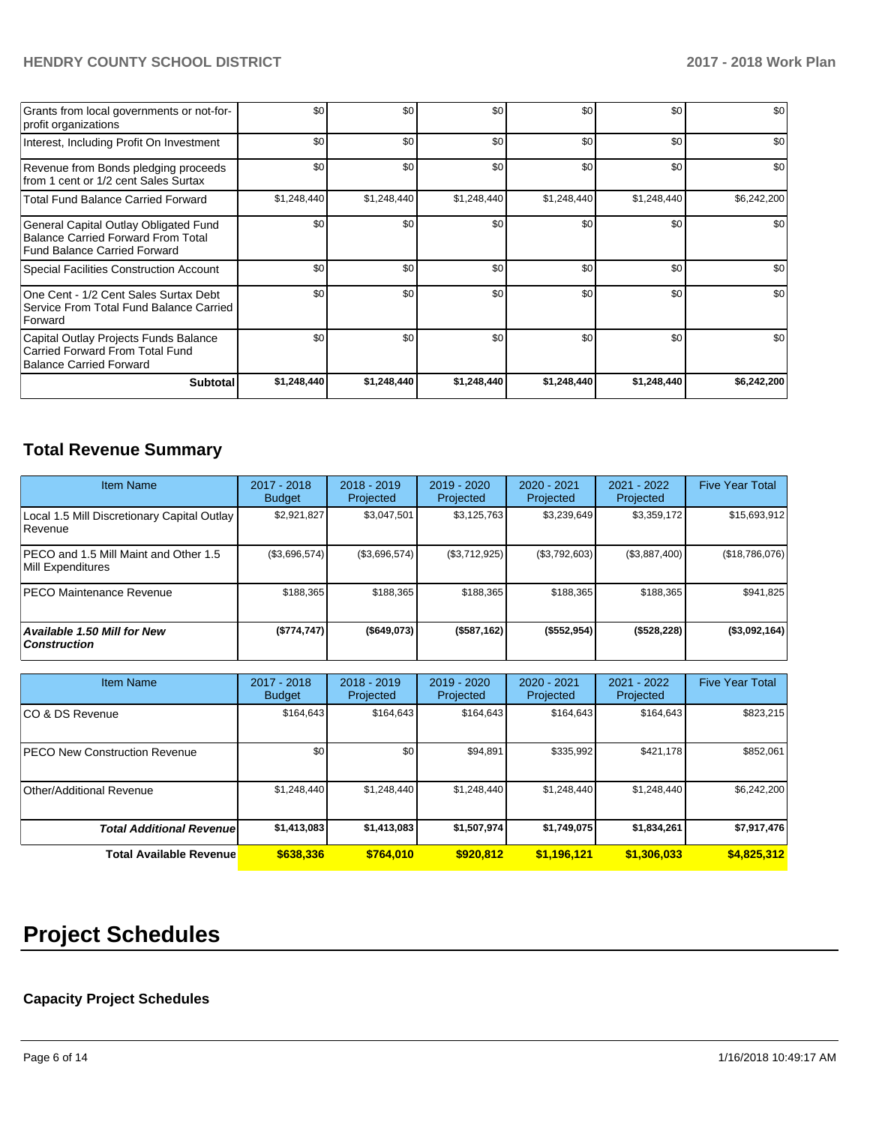### **HENDRY COUNTY SCHOOL DISTRICT 2017 - 2018 Work Plan**

| Grants from local governments or not-for-<br>profit organizations                                                         | \$0         | \$0              | \$0         | \$0         | \$0         | \$0         |
|---------------------------------------------------------------------------------------------------------------------------|-------------|------------------|-------------|-------------|-------------|-------------|
| Interest, Including Profit On Investment                                                                                  | \$0         | \$0 <sub>1</sub> | \$0         | \$0         | \$0         | \$0         |
| Revenue from Bonds pledging proceeds<br>from 1 cent or 1/2 cent Sales Surtax                                              | \$0         | \$0 <sub>1</sub> | \$0         | \$0         | \$0         | \$0         |
| <b>Total Fund Balance Carried Forward</b>                                                                                 | \$1,248,440 | \$1,248,440      | \$1,248,440 | \$1,248,440 | \$1,248,440 | \$6,242,200 |
| General Capital Outlay Obligated Fund<br><b>Balance Carried Forward From Total</b><br><b>Fund Balance Carried Forward</b> | \$0         | \$0 <sub>1</sub> | \$0         | \$0         | \$0         | \$0         |
| Special Facilities Construction Account                                                                                   | \$0         | \$0 <sub>1</sub> | \$0         | \$0         | \$0         | \$0         |
| One Cent - 1/2 Cent Sales Surtax Debt<br>Service From Total Fund Balance Carried<br>Forward                               | \$0         | \$0 <sub>1</sub> | \$0         | \$0         | \$0         | \$0         |
| Capital Outlay Projects Funds Balance<br>Carried Forward From Total Fund<br><b>Balance Carried Forward</b>                | \$0         | \$0              | \$0         | \$0         | \$0         | \$0         |
| <b>Subtotal</b>                                                                                                           | \$1,248,440 | \$1,248,440      | \$1,248,440 | \$1,248,440 | \$1,248,440 | \$6,242,200 |

# **Total Revenue Summary**

| <b>Item Name</b>                                           | 2017 - 2018<br><b>Budget</b> | $2018 - 2019$<br>Projected | 2019 - 2020<br>Projected | 2020 - 2021<br>Projected | 2021 - 2022<br>Projected | <b>Five Year Total</b> |
|------------------------------------------------------------|------------------------------|----------------------------|--------------------------|--------------------------|--------------------------|------------------------|
| Local 1.5 Mill Discretionary Capital Outlay<br>l Revenue   | \$2,921,827                  | \$3,047,501                | \$3,125,763              | \$3,239,649              | \$3,359,172              | \$15,693,912           |
| PECO and 1.5 Mill Maint and Other 1.5<br>Mill Expenditures | (\$3,696,574)                | (\$3,696,574)              | (\$3,712,925)            | (\$3,792,603)            | (\$3,887,400)            | (\$18,786,076)         |
| <b>PECO Maintenance Revenue</b>                            | \$188,365                    | \$188,365                  | \$188,365                | \$188.365                | \$188,365                | \$941,825              |
| <b>Available 1.50 Mill for New</b><br><b>Construction</b>  | (\$774,747)                  | (\$649,073)                | (\$587,162)              | (\$552,954)              | (\$528,228)              | (\$3,092,164)          |

| <b>Item Name</b>                      | 2017 - 2018<br><b>Budget</b> | $2018 - 2019$<br>Projected | $2019 - 2020$<br>Projected | 2020 - 2021<br>Projected | 2021 - 2022<br>Projected | <b>Five Year Total</b> |
|---------------------------------------|------------------------------|----------------------------|----------------------------|--------------------------|--------------------------|------------------------|
| ICO & DS Revenue                      | \$164,643                    | \$164,643                  | \$164,643                  | \$164,643                | \$164,643                | \$823,215              |
| <b>IPECO New Construction Revenue</b> | \$0                          | \$0                        | \$94,891                   | \$335,992                | \$421,178                | \$852,061              |
| Other/Additional Revenue              | \$1,248,440                  | \$1,248,440                | \$1,248,440                | \$1,248,440              | \$1,248,440              | \$6,242,200            |
| <b>Total Additional Revenuel</b>      | \$1,413,083                  | \$1,413,083                | \$1,507,974                | \$1,749,075              | \$1,834,261              | \$7,917,476            |
| <b>Total Available Revenue</b>        | \$638,336                    | \$764.010                  | \$920.812                  | \$1,196,121              | \$1,306,033              | \$4,825,312            |

# **Project Schedules**

# **Capacity Project Schedules**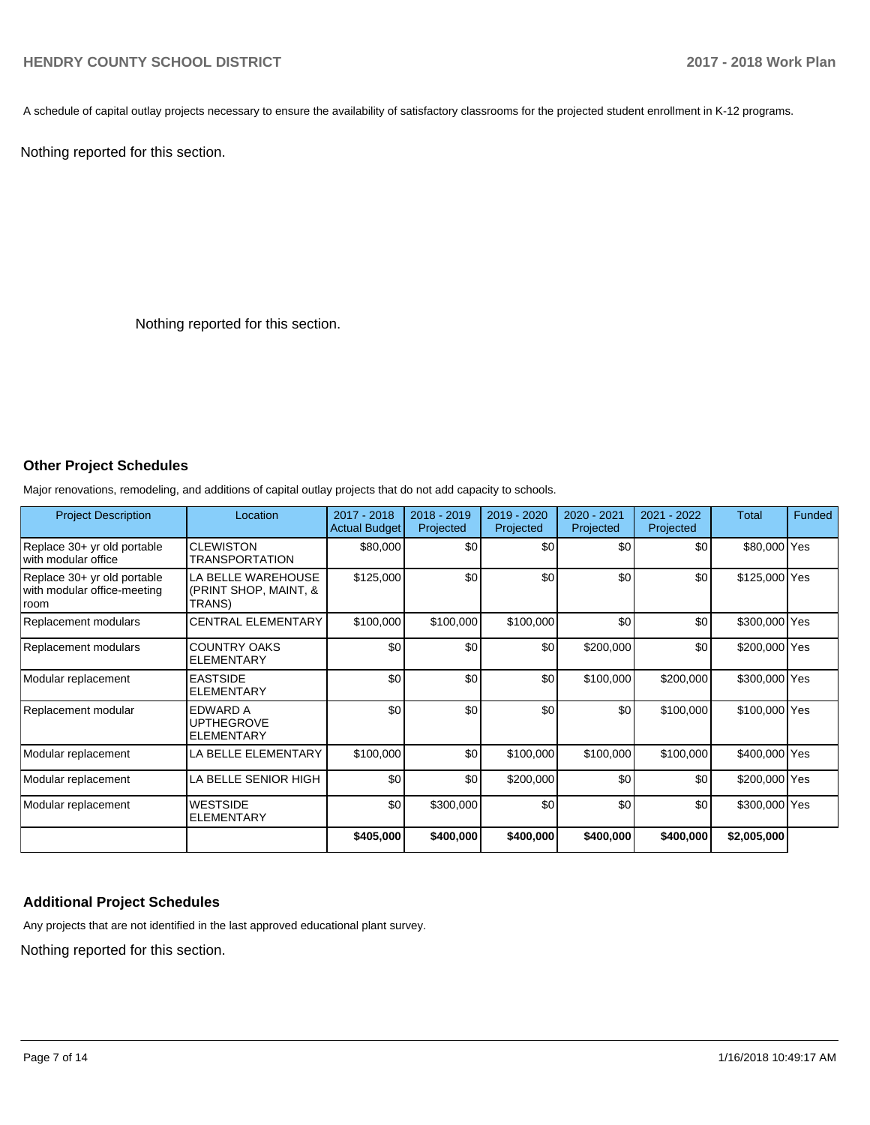A schedule of capital outlay projects necessary to ensure the availability of satisfactory classrooms for the projected student enrollment in K-12 programs.

Nothing reported for this section.

Nothing reported for this section.

## **Other Project Schedules**

Major renovations, remodeling, and additions of capital outlay projects that do not add capacity to schools.

| <b>Project Description</b>                                         | Location                                                  | 2017 - 2018<br><b>Actual Budget</b> | 2018 - 2019<br>Projected | 2019 - 2020<br>Projected | 2020 - 2021<br>Projected | 2021 - 2022<br>Projected | <b>Total</b>  | <b>Funded</b> |
|--------------------------------------------------------------------|-----------------------------------------------------------|-------------------------------------|--------------------------|--------------------------|--------------------------|--------------------------|---------------|---------------|
| Replace 30+ yr old portable<br>with modular office                 | <b>CLEWISTON</b><br><b>TRANSPORTATION</b>                 | \$80,000                            | \$0                      | \$0                      | \$0                      | \$0                      | \$80,000 Yes  |               |
| Replace 30+ yr old portable<br>with modular office-meeting<br>room | LA BELLE WAREHOUSE<br>(PRINT SHOP, MAINT, &<br>TRANS)     | \$125,000                           | \$0                      | \$0                      | \$0                      | \$0                      | \$125,000 Yes |               |
| Replacement modulars                                               | <b>CENTRAL ELEMENTARY</b>                                 | \$100,000                           | \$100,000                | \$100,000                | \$0                      | \$0                      | \$300,000 Yes |               |
| Replacement modulars                                               | <b>COUNTRY OAKS</b><br><b>ELEMENTARY</b>                  | \$0                                 | \$0                      | \$0                      | \$200,000                | \$0                      | \$200,000 Yes |               |
| Modular replacement                                                | <b>EASTSIDE</b><br><b>ELEMENTARY</b>                      | \$0                                 | \$0                      | \$0                      | \$100,000                | \$200,000                | \$300,000 Yes |               |
| Replacement modular                                                | <b>EDWARD A</b><br><b>UPTHEGROVE</b><br><b>ELEMENTARY</b> | \$0                                 | \$0                      | \$0                      | \$0                      | \$100,000                | \$100,000 Yes |               |
| Modular replacement                                                | LA BELLE ELEMENTARY                                       | \$100,000                           | \$0                      | \$100,000                | \$100,000                | \$100,000                | \$400,000 Yes |               |
| Modular replacement                                                | LA BELLE SENIOR HIGH                                      | \$0                                 | \$0                      | \$200,000                | \$0                      | \$0                      | \$200,000 Yes |               |
| Modular replacement                                                | <b>WESTSIDE</b><br><b>ELEMENTARY</b>                      | \$0                                 | \$300,000                | \$0                      | \$0                      | \$0                      | \$300,000 Yes |               |
|                                                                    |                                                           | \$405,000                           | \$400,000                | \$400,000                | \$400,000                | \$400,000                | \$2,005,000   |               |

#### **Additional Project Schedules**

Any projects that are not identified in the last approved educational plant survey.

Nothing reported for this section.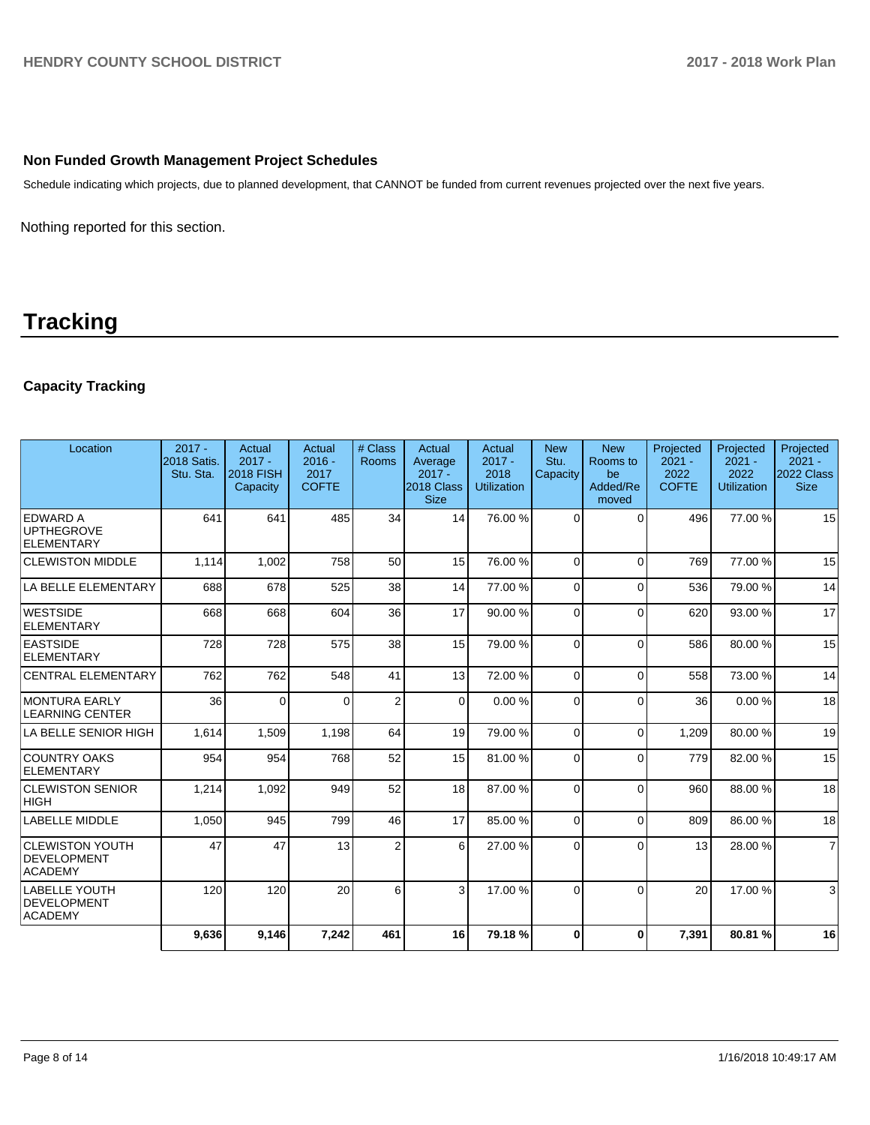#### **Non Funded Growth Management Project Schedules**

Schedule indicating which projects, due to planned development, that CANNOT be funded from current revenues projected over the next five years.

Nothing reported for this section.

# **Tracking**

## **Capacity Tracking**

| Location                                                | $2017 -$<br>2018 Satis.<br>Stu. Sta. | <b>Actual</b><br>$2017 -$<br><b>2018 FISH</b><br>Capacity | Actual<br>$2016 -$<br>2017<br><b>COFTE</b> | # Class<br>Rooms | Actual<br>Average<br>$2017 -$<br>2018 Class<br><b>Size</b> | Actual<br>$2017 -$<br>2018<br><b>Utilization</b> | <b>New</b><br>Stu.<br>Capacity | <b>New</b><br>Rooms to<br>be<br>Added/Re<br>moved | Projected<br>$2021 -$<br>2022<br><b>COFTE</b> | Projected<br>$2021 -$<br>2022<br><b>Utilization</b> | Projected<br>$2021 -$<br>2022 Class<br><b>Size</b> |
|---------------------------------------------------------|--------------------------------------|-----------------------------------------------------------|--------------------------------------------|------------------|------------------------------------------------------------|--------------------------------------------------|--------------------------------|---------------------------------------------------|-----------------------------------------------|-----------------------------------------------------|----------------------------------------------------|
| <b>EDWARD A</b><br><b>UPTHEGROVE</b><br>ELEMENTARY      | 641                                  | 641                                                       | 485                                        | 34               | 14                                                         | 76.00 %                                          | $\Omega$                       | $\Omega$                                          | 496                                           | 77.00 %                                             | 15                                                 |
| <b>CLEWISTON MIDDLE</b>                                 | 1,114                                | 1,002                                                     | 758                                        | 50               | 15                                                         | 76.00 %                                          | $\Omega$                       | $\Omega$                                          | 769                                           | 77.00 %                                             | 15                                                 |
| LA BELLE ELEMENTARY                                     | 688                                  | 678                                                       | 525                                        | 38               | 14                                                         | 77.00 %                                          | $\Omega$                       | $\Omega$                                          | 536                                           | 79.00 %                                             | 14                                                 |
| <b>WESTSIDE</b><br>ELEMENTARY                           | 668                                  | 668                                                       | 604                                        | 36               | 17                                                         | 90.00%                                           | $\Omega$                       | $\Omega$                                          | 620                                           | 93.00 %                                             | 17                                                 |
| <b>EASTSIDE</b><br><b>ELEMENTARY</b>                    | 728                                  | 728                                                       | 575                                        | 38               | 15                                                         | 79.00 %                                          | $\Omega$                       | $\Omega$                                          | 586                                           | 80.00 %                                             | 15                                                 |
| <b>CENTRAL ELEMENTARY</b>                               | 762                                  | 762                                                       | 548                                        | 41               | 13 <sup>1</sup>                                            | 72.00 %                                          | $\Omega$                       | $\Omega$                                          | 558                                           | 73.00 %                                             | 14                                                 |
| MONTURA EARLY<br><b>LEARNING CENTER</b>                 | 36                                   | $\Omega$                                                  | $\Omega$                                   | $\overline{2}$   | $\Omega$                                                   | 0.00%                                            | $\Omega$                       | $\Omega$                                          | 36                                            | 0.00%                                               | 18                                                 |
| LA BELLE SENIOR HIGH                                    | 1,614                                | 1,509                                                     | 1,198                                      | 64               | 19                                                         | 79.00 %                                          | $\Omega$                       | $\Omega$                                          | 1,209                                         | 80.00%                                              | 19                                                 |
| <b>COUNTRY OAKS</b><br>ELEMENTARY                       | 954                                  | 954                                                       | 768                                        | 52               | 15 <sup>1</sup>                                            | 81.00%                                           | $\Omega$                       | $\Omega$                                          | 779                                           | 82.00%                                              | 15                                                 |
| <b>CLEWISTON SENIOR</b><br> HIGH                        | 1,214                                | 1,092                                                     | 949                                        | 52               | 18                                                         | 87.00 %                                          | $\Omega$                       | $\Omega$                                          | 960                                           | 88.00 %                                             | 18                                                 |
| <b>LABELLE MIDDLE</b>                                   | 1,050                                | 945                                                       | 799                                        | 46               | 17                                                         | 85.00 %                                          | $\Omega$                       | $\Omega$                                          | 809                                           | 86.00 %                                             | 18                                                 |
| <b>CLEWISTON YOUTH</b><br>DEVELOPMENT<br><b>ACADEMY</b> | 47                                   | 47                                                        | 13                                         | $\overline{2}$   | 6                                                          | 27.00 %                                          | $\Omega$                       | $\Omega$                                          | 13                                            | 28.00 %                                             | $\overline{7}$                                     |
| <b>LABELLE YOUTH</b><br>DEVELOPMENT<br><b>ACADEMY</b>   | 120                                  | 120                                                       | 20                                         | 6                | 3                                                          | 17.00 %                                          | $\Omega$                       | $\Omega$                                          | 20                                            | 17.00 %                                             | 3                                                  |
|                                                         | 9.636                                | 9,146                                                     | 7,242                                      | 461              | 16                                                         | 79.18%                                           | 0                              | $\bf{0}$                                          | 7,391                                         | 80.81%                                              | 16                                                 |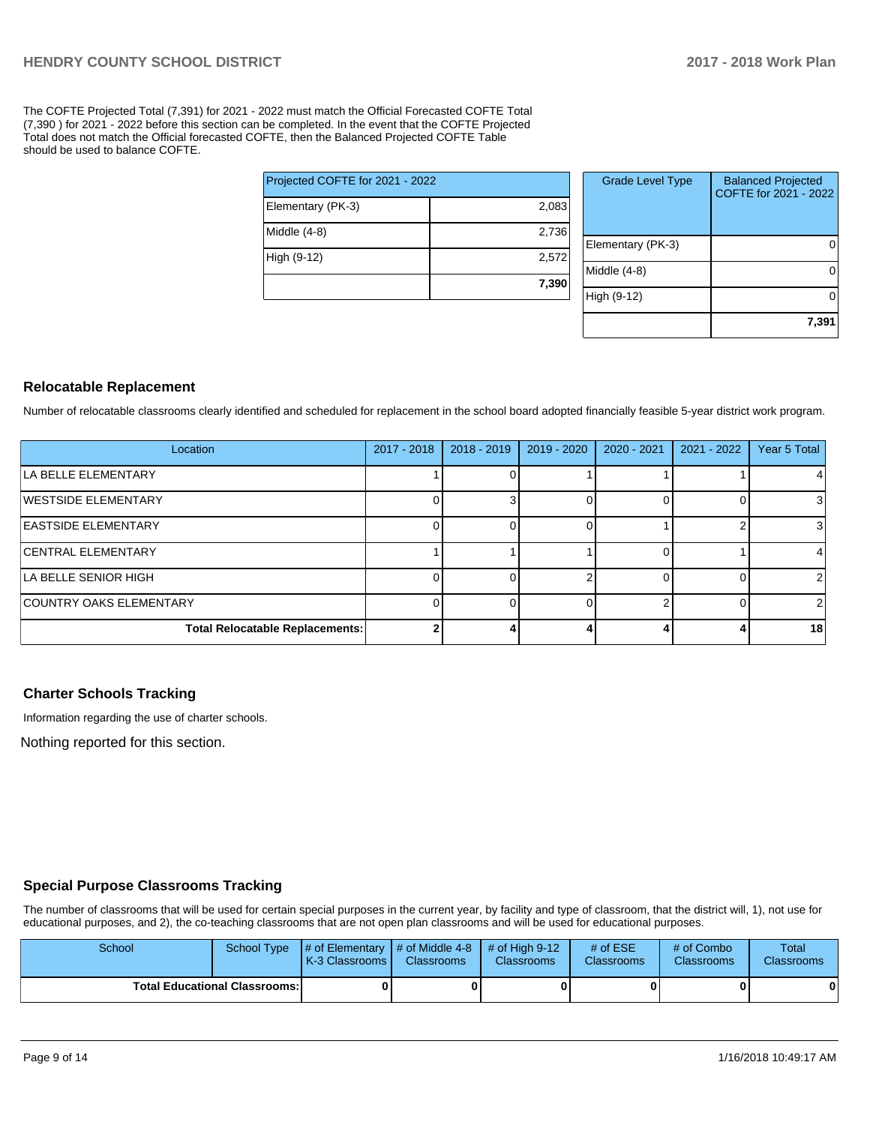The COFTE Projected Total (7,391) for 2021 - 2022 must match the Official Forecasted COFTE Total (7,390 ) for 2021 - 2022 before this section can be completed. In the event that the COFTE Projected Total does not match the Official forecasted COFTE, then the Balanced Projected COFTE Table should be used to balance COFTE.

|                                 | 7,390 |  |  |  |  |
|---------------------------------|-------|--|--|--|--|
| High (9-12)                     | 2,572 |  |  |  |  |
| Middle (4-8)                    | 2,736 |  |  |  |  |
| Elementary (PK-3)               | 2,083 |  |  |  |  |
| Projected COFTE for 2021 - 2022 |       |  |  |  |  |

| <b>Grade Level Type</b> | <b>Balanced Projected</b><br>COFTE for 2021 - 2022 |
|-------------------------|----------------------------------------------------|
| Elementary (PK-3)       |                                                    |
| Middle (4-8)            |                                                    |
| High (9-12)             |                                                    |
|                         | 7,391                                              |

#### **Relocatable Replacement**

Number of relocatable classrooms clearly identified and scheduled for replacement in the school board adopted financially feasible 5-year district work program.

| Location                               | $2017 - 2018$ | $2018 - 2019$ | $2019 - 2020$ | 2020 - 2021 | 2021 - 2022 | Year 5 Total   |
|----------------------------------------|---------------|---------------|---------------|-------------|-------------|----------------|
| ILA BELLE ELEMENTARY                   |               |               |               |             |             |                |
| <b>IWESTSIDE ELEMENTARY</b>            |               |               |               |             |             |                |
| <b>EASTSIDE ELEMENTARY</b>             |               |               |               |             |             | 3              |
| <b>CENTRAL ELEMENTARY</b>              |               |               |               |             |             |                |
| LA BELLE SENIOR HIGH                   |               |               |               |             |             |                |
| COUNTRY OAKS ELEMENTARY                |               |               |               |             |             | $\overline{2}$ |
| <b>Total Relocatable Replacements:</b> |               |               |               |             |             | 18             |

#### **Charter Schools Tracking**

Information regarding the use of charter schools.

Nothing reported for this section.

### **Special Purpose Classrooms Tracking**

The number of classrooms that will be used for certain special purposes in the current year, by facility and type of classroom, that the district will, 1), not use for educational purposes, and 2), the co-teaching classrooms that are not open plan classrooms and will be used for educational purposes.

| School | School Type                          | $\parallel \#$ of Elementary $\parallel \#$ of Middle 4-8 $\parallel \#$ of High 9-12<br><b>K-3 Classrooms I</b> | <b>Classrooms</b> | <b>Classrooms</b> | $#$ of ESE<br><b>Classrooms</b> | # of Combo<br><b>Classrooms</b> | Total<br><b>Classrooms</b> |
|--------|--------------------------------------|------------------------------------------------------------------------------------------------------------------|-------------------|-------------------|---------------------------------|---------------------------------|----------------------------|
|        | <b>Total Educational Classrooms:</b> |                                                                                                                  |                   |                   |                                 | 0                               |                            |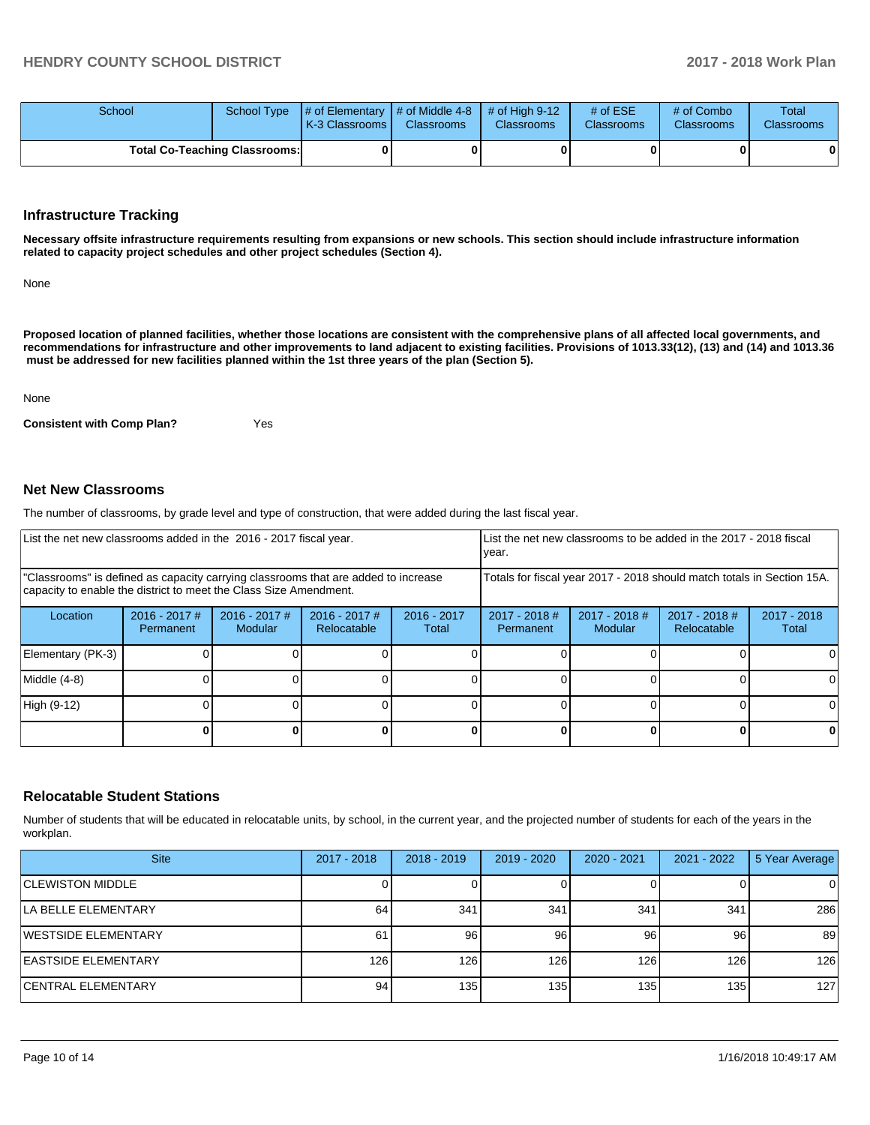| School |                                      | School Type $\parallel \#$ of Elementary $\parallel \#$ of Middle 4-8 $\parallel \#$ of High 9-12<br><b>K-3 Classrooms M</b> | <b>Classrooms</b> | <b>Classrooms</b> | # of $ESE$<br><b>Classrooms</b> | # of Combo<br><b>Classrooms</b> | Total<br><b>Classrooms</b> |
|--------|--------------------------------------|------------------------------------------------------------------------------------------------------------------------------|-------------------|-------------------|---------------------------------|---------------------------------|----------------------------|
|        | <b>Total Co-Teaching Classrooms:</b> |                                                                                                                              | 01                |                   |                                 |                                 | 0                          |

#### **Infrastructure Tracking**

**Necessary offsite infrastructure requirements resulting from expansions or new schools. This section should include infrastructure information related to capacity project schedules and other project schedules (Section 4).** 

None

**Proposed location of planned facilities, whether those locations are consistent with the comprehensive plans of all affected local governments, and recommendations for infrastructure and other improvements to land adjacent to existing facilities. Provisions of 1013.33(12), (13) and (14) and 1013.36 must be addressed for new facilities planned within the 1st three years of the plan (Section 5).** 

None

**Consistent with Comp Plan?** Yes

#### **Net New Classrooms**

The number of classrooms, by grade level and type of construction, that were added during the last fiscal year.

| List the net new classrooms added in the 2016 - 2017 fiscal year.                                                                                       |                                     |                                   |                                                                        |                        | List the net new classrooms to be added in the 2017 - 2018 fiscal<br>year. |                            |                              |                      |
|---------------------------------------------------------------------------------------------------------------------------------------------------------|-------------------------------------|-----------------------------------|------------------------------------------------------------------------|------------------------|----------------------------------------------------------------------------|----------------------------|------------------------------|----------------------|
| "Classrooms" is defined as capacity carrying classrooms that are added to increase<br>capacity to enable the district to meet the Class Size Amendment. |                                     |                                   | Totals for fiscal year 2017 - 2018 should match totals in Section 15A. |                        |                                                                            |                            |                              |                      |
| Location                                                                                                                                                | $2016 - 2017$ #<br><b>Permanent</b> | $2016 - 2017$ #<br><b>Modular</b> | $2016 - 2017$ #<br>Relocatable                                         | $2016 - 2017$<br>Total | 2017 - 2018 #<br>Permanent                                                 | $2017 - 2018$ #<br>Modular | 2017 - 2018 #<br>Relocatable | 2017 - 2018<br>Total |
| Elementary (PK-3)                                                                                                                                       |                                     |                                   |                                                                        |                        |                                                                            |                            |                              |                      |
| Middle (4-8)                                                                                                                                            |                                     |                                   |                                                                        |                        |                                                                            |                            |                              | ΩI                   |
| High (9-12)                                                                                                                                             |                                     |                                   |                                                                        |                        |                                                                            |                            |                              | $\Omega$             |
|                                                                                                                                                         |                                     |                                   |                                                                        | ΩI                     |                                                                            |                            | 0                            | 0                    |

#### **Relocatable Student Stations**

Number of students that will be educated in relocatable units, by school, in the current year, and the projected number of students for each of the years in the workplan.

| <b>Site</b>                | 2017 - 2018 | $2018 - 2019$ | 2019 - 2020 | 2020 - 2021      | $2021 - 2022$ | 5 Year Average |
|----------------------------|-------------|---------------|-------------|------------------|---------------|----------------|
| <b>CLEWISTON MIDDLE</b>    |             |               |             |                  |               | 0              |
| LA BELLE ELEMENTARY        | 64          | 341           | 341         | 341              | 341           | 286            |
| WESTSIDE ELEMENTARY        | 61          | 96            | 96          | 96               | 96            | 89             |
| <b>EASTSIDE ELEMENTARY</b> | 126         | 126           | 126         | 126              | 126           | 126            |
| <b>CENTRAL ELEMENTARY</b>  | 94          | 135           | 1351        | 135 <sub>1</sub> | 135           | 127            |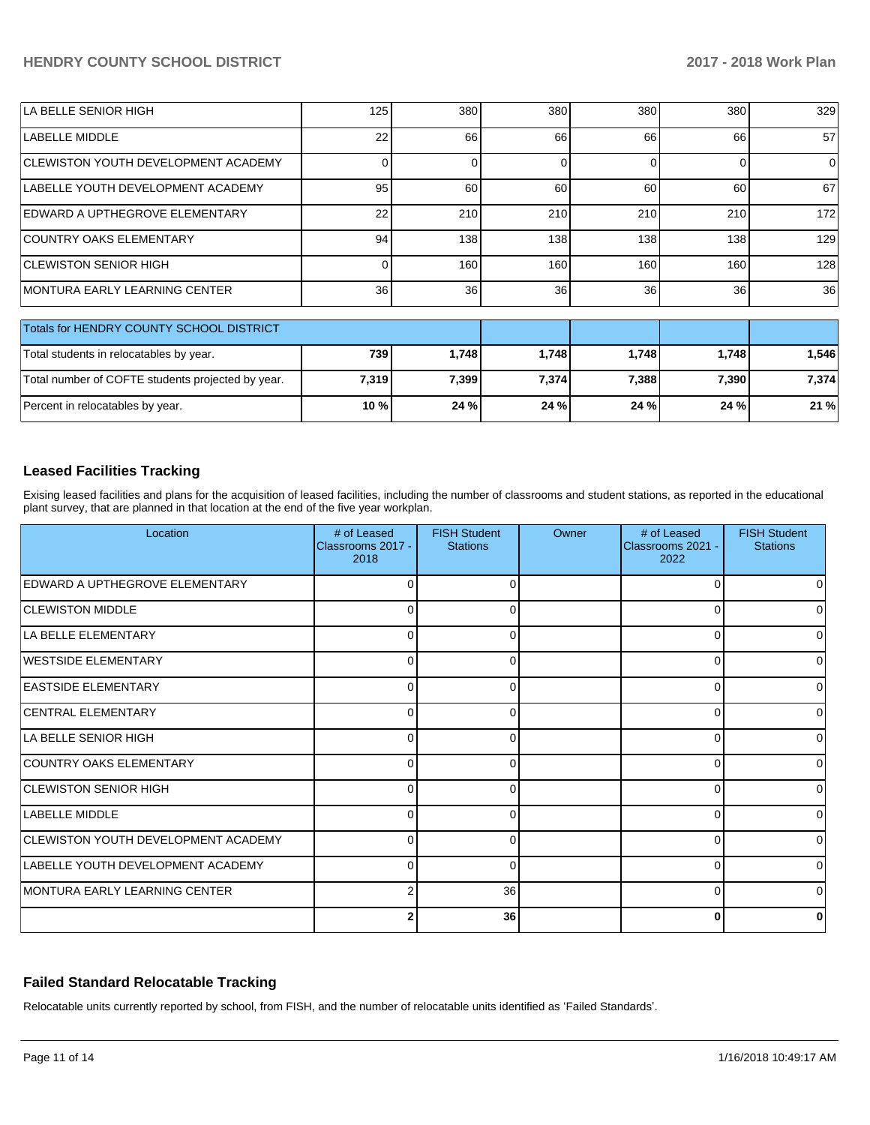#### **HENDRY COUNTY SCHOOL DISTRICT 2017 - 2018 Work Plan**

| LA BELLE SENIOR HIGH                     | 125 | 380 | 380 | 380 | 380 | 329 |
|------------------------------------------|-----|-----|-----|-----|-----|-----|
| <b>LABELLE MIDDLE</b>                    | 22  | 66  | 66  | 66  | 66  | 57  |
| CLEWISTON YOUTH DEVELOPMENT ACADEMY      |     |     |     |     |     | 0   |
| LABELLE YOUTH DEVELOPMENT ACADEMY        | 95  | 60  | 60  | 60  | 60  | 67  |
| IEDWARD A UPTHEGROVE ELEMENTARY          | 22  | 210 | 210 | 210 | 210 | 172 |
| COUNTRY OAKS ELEMENTARY                  | 94  | 138 | 138 | 138 | 138 | 129 |
| ICLEWISTON SENIOR HIGH                   |     | 160 | 160 | 160 | 160 | 128 |
| IMONTURA EARLY LEARNING CENTER           | 36  | 36  | 36  | 36  | 36  | 36  |
| Totals for HENDRY COUNTY SCHOOL DISTRICT |     |     |     |     |     |     |

| TURIS IUI HEINDR E GOUNTE SCHOOL DISTRICT         |       |       |       |       |         |        |
|---------------------------------------------------|-------|-------|-------|-------|---------|--------|
| Total students in relocatables by year.           | 739   | 1.748 | 1.748 | 1.748 | 1.748   | 546. ا |
| Total number of COFTE students projected by year. | 7.319 | 7.399 | 7,374 | 7,388 | 7.390 l | 7.374  |
| Percent in relocatables by year.                  | 10 %  | 24%   | 24%   | 24 %  | 24%     | 21%    |

#### **Leased Facilities Tracking**

Exising leased facilities and plans for the acquisition of leased facilities, including the number of classrooms and student stations, as reported in the educational plant survey, that are planned in that location at the end of the five year workplan.

| Location                                   | # of Leased<br>Classrooms 2017 -<br>2018 | <b>FISH Student</b><br><b>Stations</b> | Owner | # of Leased<br>Classrooms 2021 -<br>2022 | <b>FISH Student</b><br><b>Stations</b> |
|--------------------------------------------|------------------------------------------|----------------------------------------|-------|------------------------------------------|----------------------------------------|
| EDWARD A UPTHEGROVE ELEMENTARY             | $\Omega$                                 | $\Omega$                               |       |                                          | 0                                      |
| <b>CLEWISTON MIDDLE</b>                    | $\overline{0}$                           | $\Omega$                               |       | 0                                        | $\overline{0}$                         |
| LA BELLE ELEMENTARY                        | $\overline{0}$                           | $\Omega$                               |       | C                                        | $\Omega$                               |
| <b>WESTSIDE ELEMENTARY</b>                 | $\Omega$                                 | $\Omega$                               |       |                                          | $\Omega$                               |
| <b>EASTSIDE ELEMENTARY</b>                 | $\overline{0}$                           | $\Omega$                               |       | 0                                        | $\overline{0}$                         |
| <b>CENTRAL ELEMENTARY</b>                  | $\overline{0}$                           | $\Omega$                               |       | C                                        | $\overline{0}$                         |
| LA BELLE SENIOR HIGH                       | $\Omega$                                 | $\Omega$                               |       |                                          | $\Omega$                               |
| COUNTRY OAKS ELEMENTARY                    | $\overline{0}$                           | $\Omega$                               |       | 0                                        | $\overline{0}$                         |
| <b>CLEWISTON SENIOR HIGH</b>               | $\Omega$                                 | $\Omega$                               |       | C                                        | $\Omega$                               |
| LABELLE MIDDLE                             | $\Omega$                                 | $\Omega$                               |       |                                          | $\Omega$                               |
| <b>CLEWISTON YOUTH DEVELOPMENT ACADEMY</b> | $\overline{0}$                           | $\Omega$                               |       | 0                                        | 0                                      |
| LABELLE YOUTH DEVELOPMENT ACADEMY          | $\Omega$                                 | $\Omega$                               |       | C                                        | $\Omega$                               |
| IMONTURA EARLY LEARNING CENTER             | 2                                        | 36                                     |       |                                          | 0                                      |
|                                            | 2                                        | 36                                     |       | 0                                        | 0                                      |

#### **Failed Standard Relocatable Tracking**

Relocatable units currently reported by school, from FISH, and the number of relocatable units identified as 'Failed Standards'.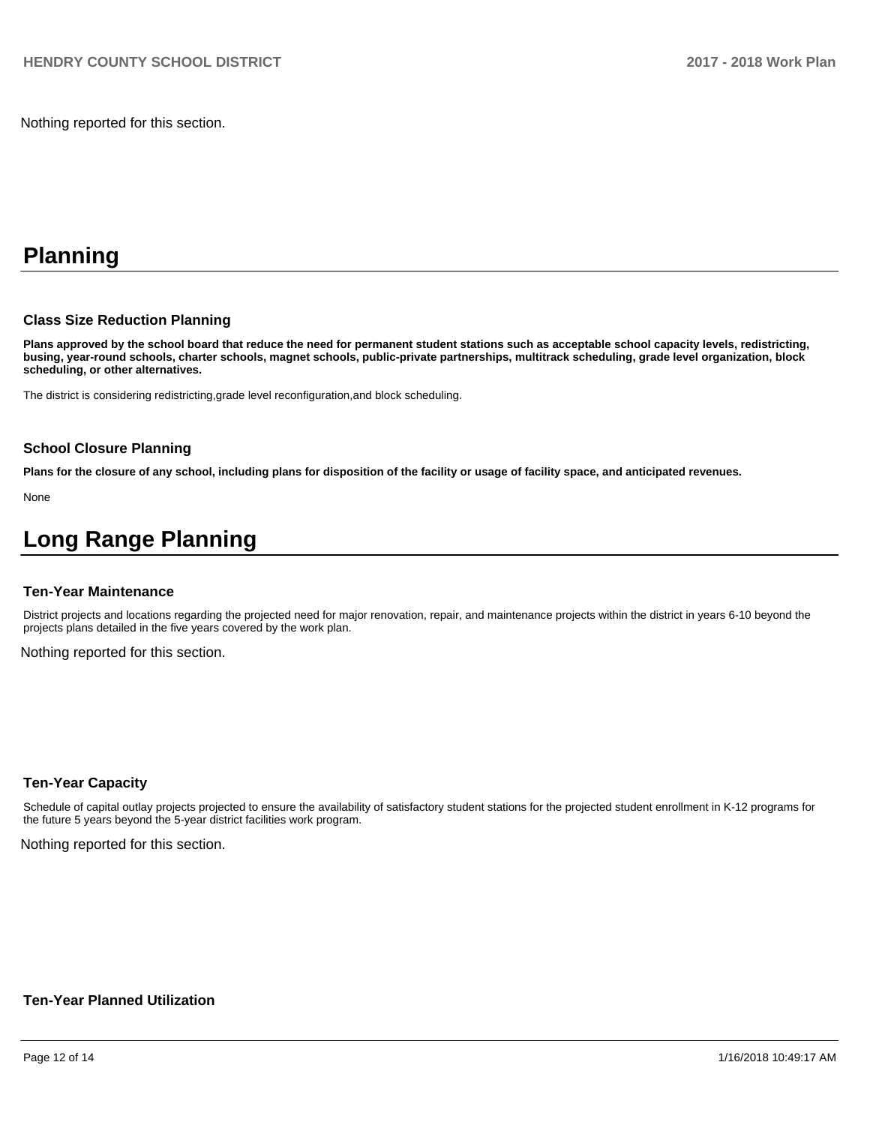Nothing reported for this section.

# **Planning**

#### **Class Size Reduction Planning**

**Plans approved by the school board that reduce the need for permanent student stations such as acceptable school capacity levels, redistricting, busing, year-round schools, charter schools, magnet schools, public-private partnerships, multitrack scheduling, grade level organization, block scheduling, or other alternatives.**

The district is considering redistricting,grade level reconfiguration,and block scheduling.

#### **School Closure Planning**

**Plans for the closure of any school, including plans for disposition of the facility or usage of facility space, and anticipated revenues.** 

None

# **Long Range Planning**

#### **Ten-Year Maintenance**

District projects and locations regarding the projected need for major renovation, repair, and maintenance projects within the district in years 6-10 beyond the projects plans detailed in the five years covered by the work plan.

Nothing reported for this section.

#### **Ten-Year Capacity**

Schedule of capital outlay projects projected to ensure the availability of satisfactory student stations for the projected student enrollment in K-12 programs for the future 5 years beyond the 5-year district facilities work program.

Nothing reported for this section.

#### **Ten-Year Planned Utilization**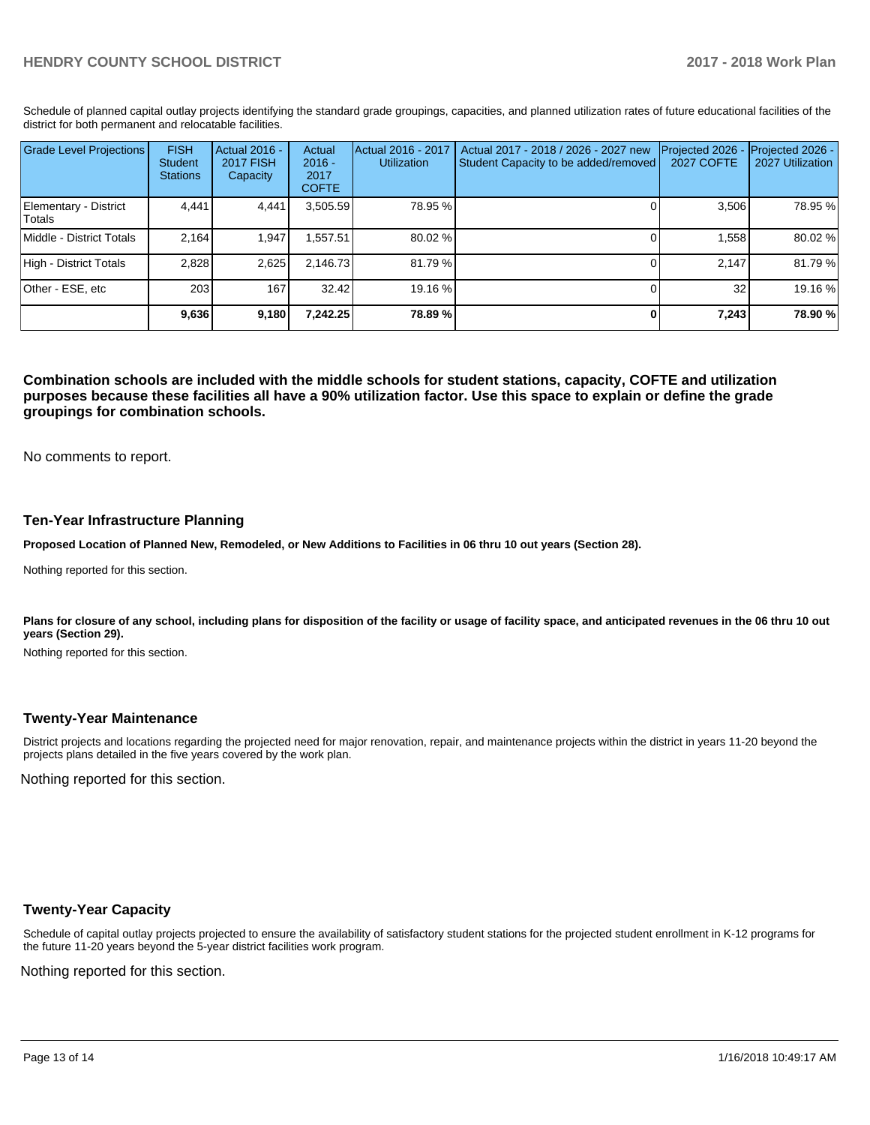Schedule of planned capital outlay projects identifying the standard grade groupings, capacities, and planned utilization rates of future educational facilities of the district for both permanent and relocatable facilities.

| <b>Grade Level Projections</b>   | <b>FISH</b><br>Student<br><b>Stations</b> | <b>Actual 2016 -</b><br><b>2017 FISH</b><br>Capacity | Actual<br>$2016 -$<br>2017<br><b>COFTE</b> | Actual 2016 - 2017<br><b>Utilization</b> | Actual 2017 - 2018 / 2026 - 2027 new<br>Student Capacity to be added/removed | Projected 2026<br><b>2027 COFTE</b> | Projected 2026 -<br>2027 Utilization |
|----------------------------------|-------------------------------------------|------------------------------------------------------|--------------------------------------------|------------------------------------------|------------------------------------------------------------------------------|-------------------------------------|--------------------------------------|
| Elementary - District<br> Totals | 4.441                                     | 4,441                                                | 3,505.59                                   | 78.95 %                                  |                                                                              | 3,506                               | 78.95 %                              |
| Middle - District Totals         | 2.164                                     | 1.947                                                | .557.51                                    | 80.02 %                                  |                                                                              | 1.558                               | 80.02 %                              |
| High - District Totals           | 2.828                                     | 2,625                                                | 2.146.73                                   | 81.79%                                   |                                                                              | 2.147                               | 81.79 %                              |
| Other - ESE, etc                 | 203                                       | 167                                                  | 32.42                                      | 19.16 %                                  |                                                                              | 32                                  | 19.16 %                              |
|                                  | 9,636                                     | 9,180                                                | 7.242.25                                   | 78.89%                                   |                                                                              | 7,243                               | 78.90 %                              |

**Combination schools are included with the middle schools for student stations, capacity, COFTE and utilization purposes because these facilities all have a 90% utilization factor. Use this space to explain or define the grade groupings for combination schools.** 

No comments to report.

#### **Ten-Year Infrastructure Planning**

**Proposed Location of Planned New, Remodeled, or New Additions to Facilities in 06 thru 10 out years (Section 28).**

Nothing reported for this section.

Plans for closure of any school, including plans for disposition of the facility or usage of facility space, and anticipated revenues in the 06 thru 10 out **years (Section 29).**

Nothing reported for this section.

#### **Twenty-Year Maintenance**

District projects and locations regarding the projected need for major renovation, repair, and maintenance projects within the district in years 11-20 beyond the projects plans detailed in the five years covered by the work plan.

Nothing reported for this section.

#### **Twenty-Year Capacity**

Schedule of capital outlay projects projected to ensure the availability of satisfactory student stations for the projected student enrollment in K-12 programs for the future 11-20 years beyond the 5-year district facilities work program.

Nothing reported for this section.